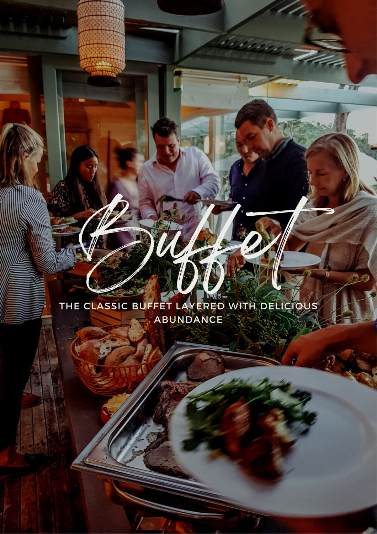# THE CLASSIC BUFFET LAYERED WITH DELICIOUS ABUNDANCE

Buffet

同道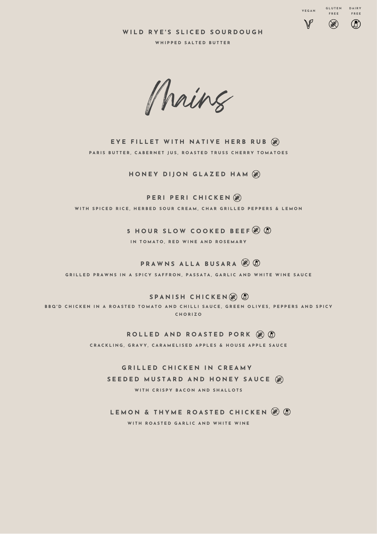**W I L D R Y E ' S S L I C E D S O U R D O U G H**

**V E G A N**

 $\mathbb{V}$ 

**G L U T E N D A IR Y F R E E**

 $\circledR$ 

**F R E E**

 $\circledR$ 



Mains

EYE FILLET WITH NATIVE HERB RUB (8) PARIS BUTTER, CABERNET JUS, ROASTED TRUSS CHERRY TOMATOES

**HONEY DIJON GLAZED HAM**  $\circledR$ 

**PERI CHICKEN** WITH SPICED RICE, HERBED SOUR CREAM, CHAR GRILLED PEPPERS & LEMON

> **5 H O U R S L O W C O O K E D B E E F** IN TOMATO, RED WINE AND ROSEMARY

 $PRAWNSALLABUSARA$   $R$ GRILLED PRAWNS IN A SPICY SAFFRON, PASSATA, GARLIC AND WHITE WINE SAUCE

 $B \times B$  **CHICKEN** $\circledast$ 

BBQ'D CHICKEN IN A ROASTED TOMATO AND CHILLI SAUCE, GREEN OLIVES, PEPPERS AND SPICY **C H O R I Z O**

**ROLLED AND ROASTED PORK (@ 0)** 

CRACKLING, GRAVY, CARAMELISED APPLES & HOUSE APPLE SAUCE

**G R I L L E D C H I C K E N I N C R E A M Y** SEEDED MUSTARD AND HONEY SAUCE (@) WITH CRISPY BACON AND SHALLOTS

**LEMON & THYME ROASTED CHICKEN**  $\mathscr{B}$  $\mathbb{O}$ WITH ROASTED GARLIC AND WHITE WINE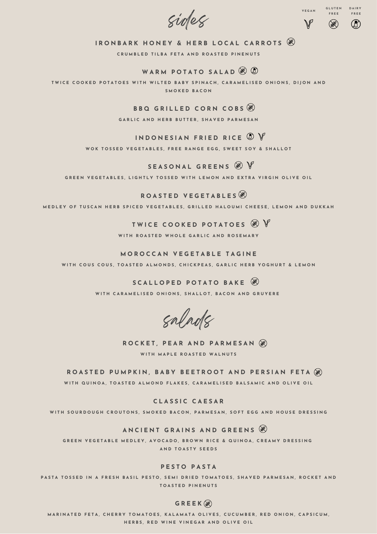sides



### IRONBARK HONEY & HERB LOCAL CARROTS

CRUMBLED TILBA FETA AND ROASTED PINENUTS

### **W A R M P O T A T O S A L A D**

TWICE COOKED POTATOES WITH WILTED BABY SPINACH, CARAMELISED ONIONS, DIION AND **S M O K E D B A C O N**

#### **B B Q G R I L L E D C O R N C O B S**

GARLIC AND HERB BUTTER, SHAVED PARMESAN

### **INDONESIAN FRIED RICE**  $\textcircled{D}$  $\textcircled{V}$

WOK TOSSED VEGETABLES, FREE RANGE EGG, SWEET SOY & SHALLOT

### **S E A S O N A L G R E E N S**

GREEN VEGETABLES, LIGHTLY TOSSED WITH LEMON AND EXTRA VIRGIN OLIVE OIL

#### **R O A S T E D V E G E T A B L E S**

MEDLEY OF TUSCAN HERB SPICED VEGETABLES, GRILLED HALOUMI CHEESE, LEMON AND DUKKAH

### **T W I C E C O O K E D P O T A T O E S** WITH ROASTED WHOLE GARLIC AND ROSEMARY

**M O R O C C A N V E G E T A B L E T A G I N E** WITH COUS COUS, TOASTED ALMONDS, CHICKPEAS, GARLIC HERB YOGHURT & LEMON

> **S C A L L O P E D P O T A T O B A K E** WITH CARAMELISED ONIONS, SHALLOT, BACON AND GRUYERE

salads

**ROCKET, PEAR AND PARMESAN**  $\circledR$ **W IT H M A P L E R O A S T E D W A L N U T S**

ROASTED PUMPKIN, BABY BEETROOT AND PERSIAN FETA (8)

WITH QUINOA, TOASTED ALMOND FLAKES, CARAMELISED BALSAMIC AND OLIVE OIL

**C L A S S I C C A E S A R**

WITH SOURDOUGH CROUTONS, SMOKED BACON, PARMESAN, SOFT EGG AND HOUSE DRESSING

#### **A N C I E N T G R A I N S A N D G R E E N S**

GREEN VEGETABLE MEDLEY, AVOCADO, BROWN RICE & QUINOA, CREAMY DRESSING **A N D T O A S T Y S E E D S**

#### **P E S T O P A S T A**

PASTA TOSSED IN A FRESH BASIL PESTO, SEMI DRIED TOMATOES, SHAVED PARMESAN, ROCKET AND **T O A S T E D P I N E N U T S**

#### **G R E E K**

MARINATED FETA, CHERRY TOMATOES, KALAMATA OLIVES, CUCUMBER, RED ONION, CAPSICUM, HERBS, RED WINE VINEGAR AND OLIVE OIL